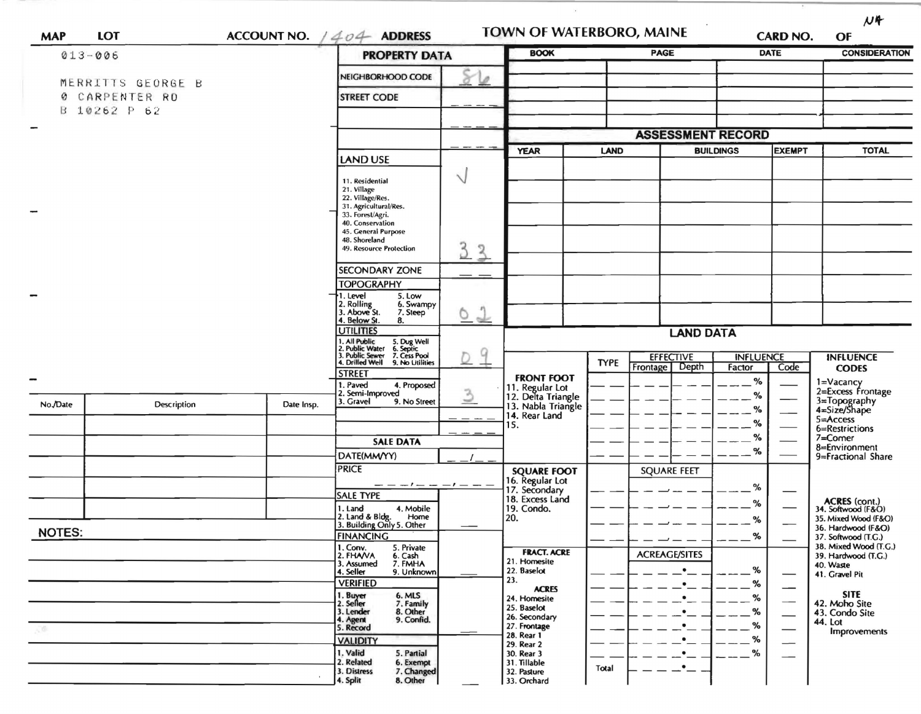| <b>MAP</b>    | LOT                               |                                                                                                                    | ACCOUNT NO. $/404$ ADDRESS                                                  |                                                        | TOWN OF WATERBORO, MAINE                                                            |                  |                      | <b>CARD NO.</b> |                                              | $M +$<br>OF                                |
|---------------|-----------------------------------|--------------------------------------------------------------------------------------------------------------------|-----------------------------------------------------------------------------|--------------------------------------------------------|-------------------------------------------------------------------------------------|------------------|----------------------|-----------------|----------------------------------------------|--------------------------------------------|
| $013 - 006$   |                                   |                                                                                                                    | <b>PROPERTY DATA</b>                                                        |                                                        | <b>BOOK</b>                                                                         |                  | <b>PAGE</b>          |                 | <b>DATE</b>                                  | <b>CONSIDERATION</b>                       |
|               |                                   |                                                                                                                    | NEIGHBORHOOD CODE                                                           | ø                                                      |                                                                                     |                  |                      |                 |                                              |                                            |
|               | MERRITTS GEORGE B<br>CARPENTER RD |                                                                                                                    | <b>STREET CODE</b>                                                          |                                                        |                                                                                     |                  |                      |                 |                                              |                                            |
|               | B 10262 P 62                      |                                                                                                                    |                                                                             |                                                        |                                                                                     |                  |                      |                 |                                              |                                            |
| -             |                                   |                                                                                                                    |                                                                             |                                                        |                                                                                     |                  |                      |                 |                                              |                                            |
|               |                                   |                                                                                                                    |                                                                             | <b>ASSESSMENT RECORD</b><br><b>YEAR</b><br><b>LAND</b> |                                                                                     |                  | <b>BUILDINGS</b>     | <b>EXEMPT</b>   | <b>TOTAL</b>                                 |                                            |
|               |                                   | <b>LAND USE</b>                                                                                                    |                                                                             |                                                        |                                                                                     |                  |                      |                 |                                              |                                            |
|               |                                   |                                                                                                                    | 11. Residential<br>21. Village<br>22. Village/Res.<br>31. Agricultural/Res. | $\vee$                                                 |                                                                                     |                  |                      |                 |                                              |                                            |
|               |                                   |                                                                                                                    | 33. Forest/Agri.<br>40. Conservation                                        |                                                        |                                                                                     |                  |                      |                 |                                              |                                            |
|               |                                   |                                                                                                                    | 45. General Purpose<br>48. Shoreland                                        |                                                        |                                                                                     |                  |                      |                 |                                              |                                            |
|               |                                   |                                                                                                                    | 49. Resource Protection                                                     | 3<br>$\frac{3}{2}$                                     |                                                                                     |                  |                      |                 |                                              |                                            |
|               |                                   |                                                                                                                    | <b>SECONDARY ZONE</b>                                                       |                                                        |                                                                                     |                  |                      |                 |                                              |                                            |
|               |                                   |                                                                                                                    | <b>TOPOGRAPHY</b>                                                           |                                                        |                                                                                     |                  |                      |                 |                                              |                                            |
| -             |                                   | 5. Low<br>1. Level<br>2. Rolling<br>3. Above St.<br>6. Swampy<br>7. Steep<br>4. Below St.<br>8.                    | η<br>◡<br>$\rightarrow$                                                     |                                                        |                                                                                     |                  |                      |                 |                                              |                                            |
|               |                                   | <b>UTILITIES</b>                                                                                                   |                                                                             | <b>LAND DATA</b>                                       |                                                                                     |                  |                      |                 |                                              |                                            |
|               |                                   | 1. All Public<br>2. Public Water<br>3. Public Sewer<br>4. Drilled Well<br>5. Dug Well<br>6. Septic<br>7. Cess Pool | 9                                                                           |                                                        |                                                                                     | <b>EFFECTIVE</b> | <b>INFLUENCE</b>     |                 | <b>INFLUENCE</b>                             |                                            |
|               |                                   |                                                                                                                    | 9. No Utilities<br><b>STREET</b>                                            |                                                        | <b>FRONT FOOT</b>                                                                   | <b>TYPE</b>      | Frontage Depth       | Factor          | Code                                         | <b>CODES</b>                               |
|               |                                   |                                                                                                                    | 1. Paved<br>4. Proposed<br>2. Semi-Improved                                 |                                                        |                                                                                     |                  |                      | %<br>%          |                                              | 1=Vacancy<br>2=Excess Frontage             |
| No./Date      | Description                       | Date Insp.                                                                                                         | 3. Gravel<br>9. No Street                                                   |                                                        | 11. Regular Lot<br>12. Delta Triangle<br>13. Nabla Triangle<br>14. Rear Land<br>15. |                  |                      | %               | 3=Topography<br>4=Size/Shape                 |                                            |
|               |                                   |                                                                                                                    |                                                                             |                                                        |                                                                                     |                  |                      | %               |                                              | 5=Access<br>6=Restrictions                 |
|               |                                   |                                                                                                                    | <b>SALE DATA</b>                                                            |                                                        |                                                                                     |                  |                      | %               |                                              | 7=Comer<br>8=Environment                   |
|               |                                   |                                                                                                                    | DATE(MM/YY)                                                                 |                                                        |                                                                                     |                  |                      | %               |                                              | 9=Fractional Share                         |
|               |                                   |                                                                                                                    | <b>PRICE</b>                                                                |                                                        | <b>SQUARE FOOT</b><br>16. Regular Lot                                               |                  | <b>SQUARE FEET</b>   |                 |                                              |                                            |
|               |                                   |                                                                                                                    | <b>SALE TYPE</b>                                                            |                                                        | 17. Secondary<br>18. Excess Land                                                    |                  |                      | %               |                                              |                                            |
|               |                                   |                                                                                                                    | 1. Land<br>4. Mobile                                                        |                                                        | 19. Condo.                                                                          |                  |                      | %               |                                              | <b>ACRES</b> (cont.)<br>34. Softwood (F&O) |
|               |                                   |                                                                                                                    | 2. Land & Bldg.<br>Home<br>3. Building Only 5. Other                        |                                                        | 20.                                                                                 |                  |                      | %               |                                              | 35. Mixed Wood (F&O)<br>36. Hardwood (F&O) |
| <b>NOTES:</b> |                                   | <b>FINANCING</b><br>1. Conv.<br>5. Private                                                                         |                                                                             |                                                        |                                                                                     |                  | %                    |                 | 37. Softwood (T.G.)<br>38. Mixed Wood (T.G.) |                                            |
|               |                                   |                                                                                                                    | 2. FHAVA<br>6. Cash<br>7. FMHA<br>3. Assumed                                |                                                        | <b>FRACT. ACRE</b><br>21. Homesite                                                  |                  | <b>ACREAGE/SITES</b> |                 |                                              | 39. Hardwood (T.G.)<br>40. Waste           |
|               |                                   |                                                                                                                    | 4. Seller<br>9. Unknown                                                     |                                                        | 22. Baselot<br>23.                                                                  |                  |                      | ℅               |                                              | 41. Gravel Pit                             |
|               |                                   |                                                                                                                    | <b>VERIFIED</b><br>6. MLS                                                   |                                                        | <b>ACRES</b><br>24. Homesite                                                        |                  |                      | %<br>%          |                                              | <b>SITE</b>                                |
|               |                                   |                                                                                                                    | 1. Buyer<br>2. Seller<br>7. Family<br>8. Other<br>3. Lender                 |                                                        | 25. Baselot                                                                         |                  |                      | %               |                                              | 42. Moho Site<br>43. Condo Site            |
|               |                                   |                                                                                                                    | 9. Confid.<br>4. Agent<br>5. Record                                         |                                                        | 26. Secondary<br>27. Frontage                                                       |                  |                      | %               |                                              | 44. Lot<br>Improvements                    |
|               |                                   | <b>VALIDITY</b>                                                                                                    |                                                                             | 28. Rear 1<br>29. Rear 2                               |                                                                                     |                  | %                    |                 |                                              |                                            |
|               |                                   |                                                                                                                    | 1. Valid<br>5. Partial<br>2. Related<br>6. Exempt                           |                                                        | 30. Rear 3<br>31. Tillable                                                          |                  |                      | %               |                                              |                                            |
|               |                                   |                                                                                                                    | 3. Distress<br>7. Changed<br>4. Split<br>8. Other                           |                                                        | 32. Pasture<br>33. Orchard                                                          | Total            |                      |                 |                                              |                                            |

 $\mathcal{L}^{\prime}$